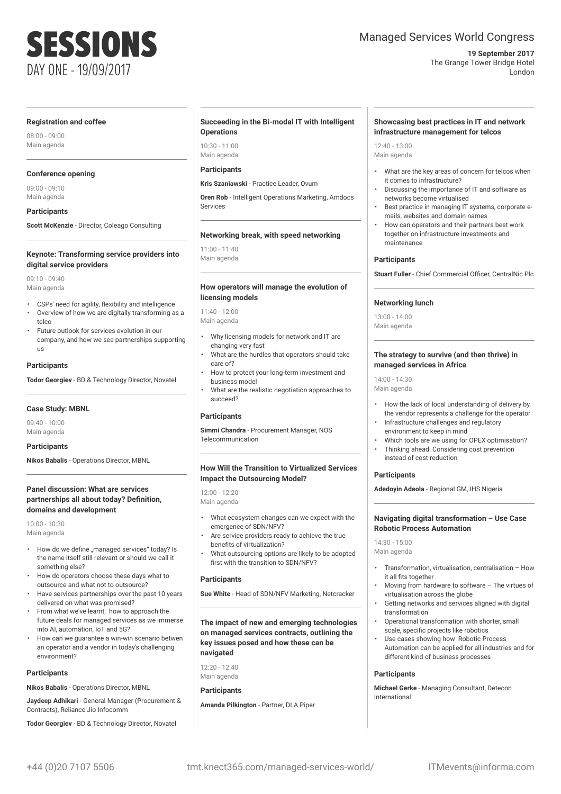# SESSIONS DAY ONE - 19/09/2017

## Managed Services World Congress

#### **19 September 2017** The Grange Tower Bridge Hotel London

#### **Registration and coffee**

08:00 - 09:00 Main agenda

## **Conference opening**

09:00 - 09:10 Main agenda

**Participants**

**Scott McKenzie** - Director, Coleago Consulting

#### **Keynote: Transforming service providers into digital service providers**

09:10 - 09:40 Main agenda

- CSPs' need for agility, flexibility and intelligence
- Overview of how we are digitally transforming as a telco
- Future outlook for services evolution in our company, and how we see partnerships supporting us

## **Participants**

**Todor Georgiev** - BD & Technology Director, Novatel

## **Case Study: MBNL**

09:40 - 10:00 Main agenda

#### **Participants**

**Nikos Babalis** - Operations Director, MBNL

### **Panel discussion: What are services partnerships all about today? Definition, domains and development**

10:00 - 10:30 Main agenda

- How do we define "managed services" today? Is the name itself still relevant or should we call it something else?
- How do operators choose these days what to outsource and what not to outsource?
- Have services partnerships over the past 10 years delivered on what was promised?
- From what we've learnt, how to approach the future deals for managed services as we immerse into AI, automation, IoT and 5G?
- How can we guarantee a win-win scenario betwen an operator and a vendor in today's challenging environment?

#### **Participants**

**Nikos Babalis** - Operations Director, MBNL

**Jaydeep Adhikari** - General Manager (Procurement & Contracts), Reliance Jio Infocomm

**Todor Georgiev** - BD & Technology Director, Novatel

#### **Succeeding in the Bi-modal IT with Intelligent Operations**

10:30 - 11:00 Main agenda

## **Participants**

**Kris Szaniawski** - Practice Leader, Ovum

**Oren Rob** - Intelligent Operations Marketing, Amdocs Services

#### **Networking break, with speed networking**

11:00 - 11:40 Main agenda

#### **How operators will manage the evolution of licensing models**

11:40 - 12:00 Main agenda

- Why licensing models for network and IT are changing very fast
- What are the hurdles that operators should take care of?
- How to protect your long-term investment and business model
- What are the realistic negotiation approaches to succeed?

## **Participants**

**Simmi Chandra** - Procurement Manager, NOS Telecommunication

### **How Will the Transition to Virtualized Services Impact the Outsourcing Model?**

12:00 - 12:20 Main agenda

- What ecosystem changes can we expect with the emergence of SDN/NFV?
- Are service providers ready to achieve the true benefits of virtualization?
- What outsourcing options are likely to be adopted first with the transition to SDN/NFV?

### **Participants**

**Sue White** - Head of SDN/NFV Marketing, Netcracker

**The impact of new and emerging technologies on managed services contracts, outlining the key issues posed and how these can be navigated**

12:20 - 12:40 Main agenda

## **Participants**

**Amanda Pilkington** - Partner, DLA Piper

### **Showcasing best practices in IT and network infrastructure management for telcos**

 $12:40 - 13:00$ Main agenda

- What are the key areas of concern for telcos when it comes to infrastructure?
- Discussing the importance of IT and software as networks become virtualised
- Best practice in managing IT systems, corporate emails, websites and domain names
- How can operators and their partners best work together on infrastructure investments and maintenance

## **Participants**

**Stuart Fuller** - Chief Commercial Officer, CentralNic Plc

## **Networking lunch**

13:00 - 14:00 Main agenda

#### **The strategy to survive (and then thrive) in managed services in Africa**

14:00 - 14:30 Main agenda

- How the lack of local understanding of delivery by the vendor represents a challenge for the operator
- Infrastructure challenges and regulatory environment to keep in mind
- Which tools are we using for OPEX optimisation? • Thinking ahead: Considering cost prevention

## **Participants**

**Adedoyin Adeola** - Regional GM, IHS Nigeria

instead of cost reduction

#### **Navigating digital transformation – Use Case Robotic Process Automation**

14:30 - 15:00 Main agenda

- Transformation, virtualisation, centralisation How it all fits together
- Moving from hardware to software The virtues of virtualisation across the globe
- Getting networks and services aligned with digital transformation
- Operational transformation with shorter, small scale, specific projects like robotics
- Use cases showing how Robotic Process Automation can be applied for all industries and for different kind of business processes

#### **Participants**

**Michael Gerke** - Managing Consultant, Detecon International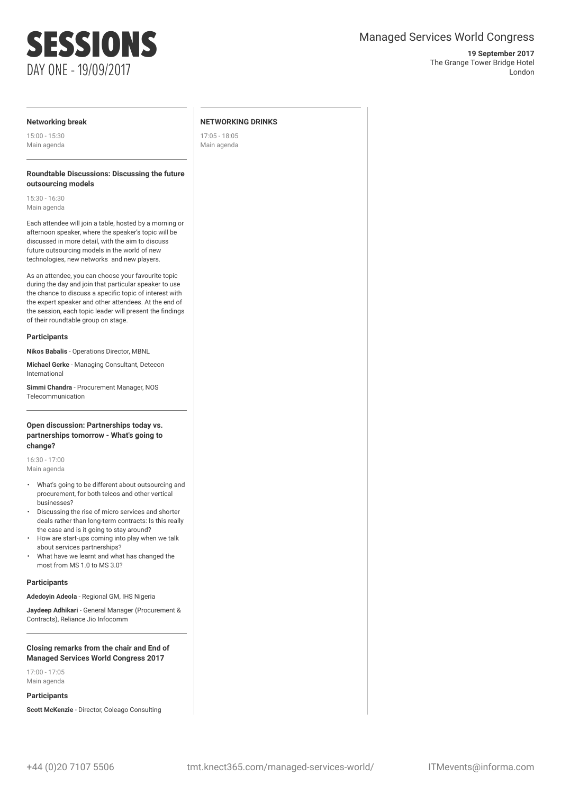## SESSIONS DAY ONE - 19/09/2017

## Managed Services World Congress

#### **19 September 2017** The Grange Tower Bridge Hotel London

## **Networking break**

15:00 - 15:30 Main agenda

### **Roundtable Discussions: Discussing the future outsourcing models**

15:30 - 16:30 Main agenda

Each attendee will join a table, hosted by a morning or afternoon speaker, where the speaker's topic will be discussed in more detail, with the aim to discuss future outsourcing models in the world of new technologies, new networks and new players.

As an attendee, you can choose your favourite topic during the day and join that particular speaker to use the chance to discuss a specific topic of interest with the expert speaker and other attendees. At the end of the session, each topic leader will present the findings of their roundtable group on stage.

## **Participants**

**Nikos Babalis** - Operations Director, MBNL

**Michael Gerke** - Managing Consultant, Detecon International

**Simmi Chandra** - Procurement Manager, NOS Telecommunication

## **Open discussion: Partnerships today vs. partnerships tomorrow - What's going to change?**

16:30 - 17:00 Main agenda

- What's going to be different about outsourcing and procurement, for both telcos and other vertical businesses?
- Discussing the rise of micro services and shorter deals rather than long-term contracts: Is this really the case and is it going to stay around?
- How are start-ups coming into play when we talk about services partnerships?
- What have we learnt and what has changed the most from MS 1.0 to MS 3.0?

## **Participants**

**Adedoyin Adeola** - Regional GM, IHS Nigeria

**Jaydeep Adhikari** - General Manager (Procurement & Contracts), Reliance Jio Infocomm

## **Closing remarks from the chair and End of Managed Services World Congress 2017**

17:00 - 17:05 Main agenda

## **Participants**

**Scott McKenzie** - Director, Coleago Consulting

### **NETWORKING DRINKS**

17:05 - 18:05 Main agenda